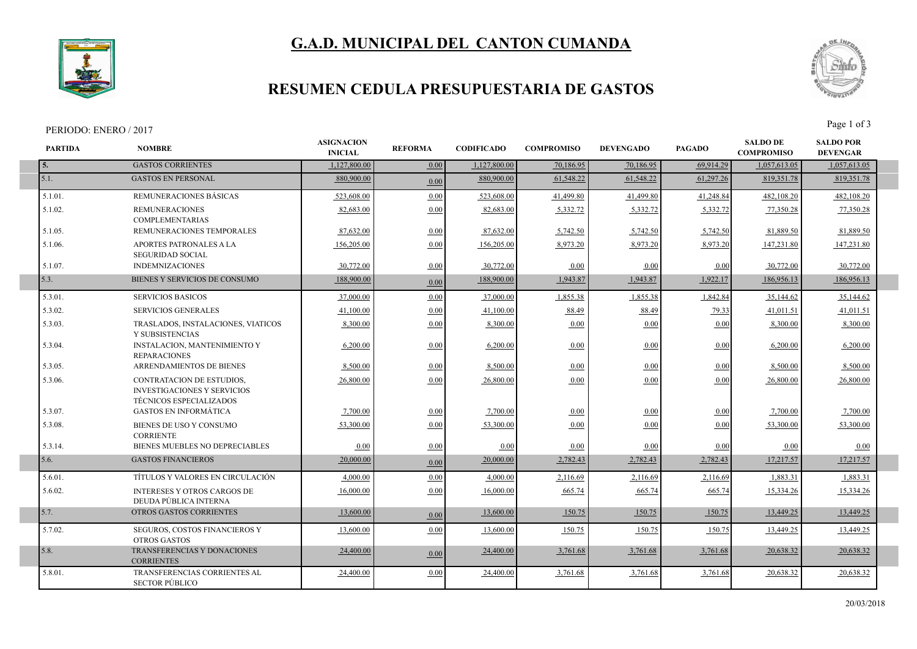# **G.A.D. MUNICIPAL DEL CANTON CUMANDA**



### **RESUMEN CEDULA PRESUPUESTARIA DE GASTOS**

#### PERIODO: ENERO / 2017<br>Page 1 of 3

Г



| <b>PARTIDA</b> | <b>NOMBRE</b>                                                                                     | <b>ASIGNACION</b><br><b>INICIAL</b> | <b>REFORMA</b> | <b>CODIFICADO</b> | <b>COMPROMISO</b> | <b>DEVENGADO</b> | <b>PAGADO</b> | <b>SALDO DE</b><br><b>COMPROMISO</b> | <b>SALDO POR</b><br><b>DEVENGAR</b> |  |
|----------------|---------------------------------------------------------------------------------------------------|-------------------------------------|----------------|-------------------|-------------------|------------------|---------------|--------------------------------------|-------------------------------------|--|
| 5.             | <b>GASTOS CORRIENTES</b>                                                                          | 1,127,800.00                        | 0.00           | 1,127,800.00      | 70,186.95         | 70,186.95        | 69,914.29     | 1,057,613.05                         | 1,057,613.05                        |  |
| 5.1.           | <b>GASTOS EN PERSONAL</b>                                                                         | 880,900.00                          | 0.00           | 880,900.00        | 61,548.22         | 61,548.22        | 61,297.26     | 819, 351.78                          | 819,351.78                          |  |
| 5.1.01.        | REMUNERACIONES BÁSICAS                                                                            | 523,608.00                          | 0.00           | 523,608.00        | 41.499.80         | 41,499.80        | 41,248.84     | 482,108.20                           | 482,108.20                          |  |
| 5.1.02.        | <b>REMUNERACIONES</b><br><b>COMPLEMENTARIAS</b>                                                   | 82,683.00                           | 0.00           | 82,683.00         | 5,332.72          | 5,332.72         | 5,332.72      | 77,350.28                            | 77,350.28                           |  |
| 5.1.05.        | REMUNERACIONES TEMPORALES                                                                         | 87,632.00                           | 0.00           | 87,632.00         | 5,742.50          | 5,742.50         | 5,742.50      | 81,889.50                            | 81,889.50                           |  |
| 5.1.06.        | APORTES PATRONALES A LA<br><b>SEGURIDAD SOCIAL</b>                                                | 156,205.00                          | 0.00           | 156,205.00        | 8,973.20          | 8,973.20         | 8,973.20      | 147,231.80                           | 147,231.80                          |  |
| 5.1.07.        | <b>INDEMNIZACIONES</b>                                                                            | 30,772.00                           | 0.00           | 30,772.00         | 0.00              | 0.00             | 0.00          | 30,772.00                            | 30,772.00                           |  |
| 5.3.           | BIENES Y SERVICIOS DE CONSUMO                                                                     | 188,900.00                          | 0.00           | 188,900.00        | 1,943.87          | 1,943.87         | 1,922.17      | 186,956.13                           | 186,956.13                          |  |
| 5.3.01.        | <b>SERVICIOS BASICOS</b>                                                                          | 37,000.00                           | 0.00           | 37,000.00         | 1,855.38          | 1,855.38         | 1,842.84      | 35,144.62                            | 35,144.62                           |  |
| 5.3.02.        | <b>SERVICIOS GENERALES</b>                                                                        | 41,100.00                           | 0.00           | 41,100.00         | 88.49             | 88.49            | 79.33         | 41,011.51                            | 41,011.51                           |  |
| 5.3.03.        | TRASLADOS, INSTALACIONES, VIATICOS<br>Y SUBSISTENCIAS                                             | 8,300.00                            | 0.00           | 8,300.00          | 0.00              | 0.00             | 0.00          | 8,300.00                             | 8,300.00                            |  |
| 5.3.04.        | <b>INSTALACION, MANTENIMIENTO Y</b><br><b>REPARACIONES</b>                                        | 6,200.00                            | 0.00           | 6,200.00          | 0.00              | 0.00             | 0.00          | 6,200.00                             | 6,200.00                            |  |
| 5.3.05.        | ARRENDAMIENTOS DE BIENES                                                                          | 8,500.00                            | 0.00           | 8,500.00          | 0.00              | 0.00             | 0.00          | 8,500.00                             | 8,500.00                            |  |
| 5.3.06.        | <b>CONTRATACION DE ESTUDIOS,</b><br><b>INVESTIGACIONES Y SERVICIOS</b><br>TÉCNICOS ESPECIALIZADOS | 26,800.00                           | 0.00           | 26,800.00         | 0.00              | 0.00             | 0.00          | 26,800.00                            | 26,800.00                           |  |
| 5.3.07.        | <b>GASTOS EN INFORMÁTICA</b>                                                                      | 7,700.00                            | 0.00           | 7,700.00          | 0.00              | 0.00             | 0.00          | 7,700.00                             | 7,700.00                            |  |
| 5.3.08.        | BIENES DE USO Y CONSUMO<br><b>CORRIENTE</b>                                                       | 53.300.00                           | 0.00           | 53,300.00         | 0.00              | 0.00             | 0.00          | 53.300.00                            | 53,300.00                           |  |
| 5.3.14.        | BIENES MUEBLES NO DEPRECIABLES                                                                    | 0.00                                | 0.00           | 0.00              | 0.00              | 0.00             | 0.00          | 0.00                                 | 0.00                                |  |
| 5.6.           | <b>GASTOS FINANCIEROS</b>                                                                         | 20,000.00                           | 0.00           | 20,000.00         | 2,782.43          | 2,782.43         | 2,782.43      | 17,217.57                            | 17,217.57                           |  |
| 5.6.01.        | TÍTULOS Y VALORES EN CIRCULACIÓN                                                                  | 4.000.00                            | 0.00           | 4,000.00          | 2,116.69          | 2,116.69         | 2,116.69      | 1,883.31                             | 1,883.31                            |  |
| 5.6.02.        | <b>INTERESES Y OTROS CARGOS DE</b><br>DEUDA PÚBLICA INTERNA                                       | 16,000.00                           | 0.00           | 16,000.00         | 665.74            | 665.74           | 665.74        | 15,334.26                            | 15,334.26                           |  |
| 5.7.           | OTROS GASTOS CORRIENTES                                                                           | 13,600.00                           | 0.00           | 13,600.00         | 150.75            | 150.75           | 150.75        | 13,449.25                            | 13,449.25                           |  |
| 5.7.02.        | SEGUROS, COSTOS FINANCIEROS Y<br><b>OTROS GASTOS</b>                                              | 13.600.00                           | 0.00           | 13.600.00         | 150.75            | 150.75           | 150.75        | 13,449.25                            | 13,449.25                           |  |
| 5.8.           | TRANSFERENCIAS Y DONACIONES<br><b>CORRIENTES</b>                                                  | 24,400.00                           | 0.00           | 24,400.00         | 3,761.68          | 3,761.68         | 3,761.68      | 20,638.32                            | 20,638.32                           |  |
| 5.8.01.        | TRANSFERENCIAS CORRIENTES AL<br><b>SECTOR PÚBLICO</b>                                             | 24,400.00                           | 0.00           | 24,400.00         | 3,761.68          | 3,761.68         | 3,761.68      | 20,638.32                            | 20,638.32                           |  |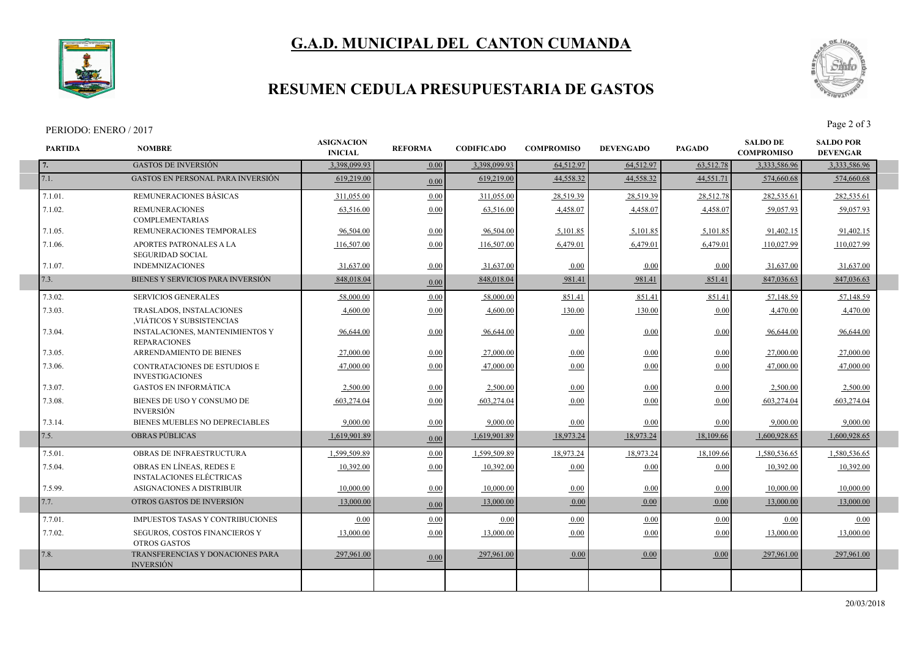# **G.A.D. MUNICIPAL DEL CANTON CUMANDA**



### **RESUMEN CEDULA PRESUPUESTARIA DE GASTOS**

#### PERIODO: ENERO / 2017<br>Page 2 of 3

I

I

I



| <b>PARTIDA</b> | <b>NOMBRE</b>                                                 | <b>ASIGNACION</b><br><b>INICIAL</b> | <b>REFORMA</b> | <b>CODIFICADO</b> | <b>COMPROMISO</b> | <b>DEVENGADO</b> | <b>PAGADO</b> | <b>SALDO DE</b><br><b>COMPROMISO</b> | <b>SALDO POR</b><br><b>DEVENGAR</b> |  |
|----------------|---------------------------------------------------------------|-------------------------------------|----------------|-------------------|-------------------|------------------|---------------|--------------------------------------|-------------------------------------|--|
| 7.             | <b>GASTOS DE INVERSIÓN</b>                                    | 3,398,099.93                        | 0.00           | 3,398,099.93      | 64,512.97         | 64,512.97        | 63,512.78     | 3,333,586.96                         | 3,333,586.96                        |  |
| 7.1.           | <b>GASTOS EN PERSONAL PARA INVERSIÓN</b>                      | 619,219.00                          | 0.00           | 619,219.00        | 44,558.32         | 44.558.32        | 44,551.71     | 574,660.68                           | 574,660.68                          |  |
| 7.1.01.        | REMUNERACIONES BÁSICAS                                        | 311,055.00                          | 0.00           | 311,055.00        | 28,519.39         | 28,519.39        | 28,512.78     | 282,535.61                           | 282,535.61                          |  |
| 7.1.02.        | <b>REMUNERACIONES</b><br><b>COMPLEMENTARIAS</b>               | 63,516.00                           | 0.00           | 63,516.00         | 4,458.07          | 4,458.07         | 4,458.07      | 59,057.93                            | 59,057.93                           |  |
| 7.1.05.        | REMUNERACIONES TEMPORALES                                     | 96,504.00                           | 0.00           | 96,504.00         | 5,101.85          | 5,101.85         | 5,101.85      | 91,402.15                            | 91,402.15                           |  |
| 7.1.06.        | <b>APORTES PATRONALES A LA</b><br><b>SEGURIDAD SOCIAL</b>     | 116,507.00                          | 0.00           | 116,507.00        | 6,479.01          | 6,479.01         | 6,479.01      | 110,027.99                           | 110,027.99                          |  |
| 7.1.07.        | <b>INDEMNIZACIONES</b>                                        | 31,637.00                           | 0.00           | 31,637.00         | 0.00              | 0.00             | 0.00          | 31,637.00                            | 31,637.00                           |  |
| 7.3.           | BIENES Y SERVICIOS PARA INVERSIÓN                             | 848,018.04                          | 0.00           | 848,018.04        | 981.41            | 981.41           | 851.41        | 847,036.63                           | 847,036.63                          |  |
| 7.3.02.        | <b>SERVICIOS GENERALES</b>                                    | 58,000.00                           | 0.00           | 58,000.00         | 851.41            | 851.41           | 851.41        | 57,148.59                            | 57,148.59                           |  |
| 7.3.03.        | TRASLADOS, INSTALACIONES<br>VIÁTICOS Y SUBSISTENCIAS          | 4,600.00                            | 0.00           | 4,600.00          | 130.00            | 130.00           | 0.00          | 4,470.00                             | 4,470.00                            |  |
| 7.3.04.        | INSTALACIONES, MANTENIMIENTOS Y<br><b>REPARACIONES</b>        | 96,644.00                           | 0.00           | 96,644.00         | 0.00              | 0.00             | 0.00          | 96,644.00                            | 96,644.00                           |  |
| 7.3.05.        | ARRENDAMIENTO DE BIENES                                       | 27,000.00                           | 0.00           | 27,000.00         | 0.00              | 0.00             | 0.00          | 27,000.00                            | 27,000.00                           |  |
| 7.3.06.        | <b>CONTRATACIONES DE ESTUDIOS E</b><br><b>INVESTIGACIONES</b> | 47.000.00                           | 0.00           | 47,000.00         | 0.00              | 0.00             | 0.00          | 47,000.00                            | 47,000.00                           |  |
| 7.3.07.        | <b>GASTOS EN INFORMÁTICA</b>                                  | 2,500.00                            | 0.00           | 2,500.00          | 0.00              | 0.00             | 0.00          | 2,500.00                             | 2,500.00                            |  |
| 7.3.08.        | BIENES DE USO Y CONSUMO DE<br><b>INVERSIÓN</b>                | 603,274.04                          | 0.00           | 603,274.04        | 0.00              | 0.00             | 0.00          | 603,274.04                           | 603,274.04                          |  |
| 7.3.14.        | BIENES MUEBLES NO DEPRECIABLES                                | 9.000.00                            | 0.00           | 9.000.00          | 0.00              | 0.00             | 0.00          | 9.000.00                             | 9,000.00                            |  |
| 7.5.           | <b>OBRAS PÚBLICAS</b>                                         | 1,619,901.89                        | 0.00           | 1,619,901.89      | 18,973.24         | 18,973.24        | 18,109.66     | 1,600,928.65                         | 1,600,928.65                        |  |
| 7.5.01.        | OBRAS DE INFRAESTRUCTURA                                      | 1,599,509.89                        | 0.00           | 1,599,509.89      | 18,973.24         | 18,973.24        | 18,109.66     | 1,580,536.65                         | 1,580,536.65                        |  |
| 7.5.04.        | OBRAS EN LÍNEAS, REDES E<br><b>INSTALACIONES ELÉCTRICAS</b>   | 10,392.00                           | 0.00           | 10,392.00         | 0.00              | 0.00             | 0.00          | 10,392.00                            | 10,392.00                           |  |
| 7.5.99.        | ASIGNACIONES A DISTRIBUIR                                     | 10,000.00                           | 0.00           | 10,000.00         | 0.00              | 0.00             | 0.00          | 10,000.00                            | 10,000.00                           |  |
| 7.7.           | OTROS GASTOS DE INVERSIÓN                                     | 13,000.00                           | 0.00           | 13,000.00         | 0.00              | 0.00             | 0.00          | 13,000.00                            | 13,000.00                           |  |
| 7.7.01.        | IMPUESTOS TASAS Y CONTRIBUCIONES                              | 0.00                                | 0.00           | 0.00              | 0.00              | 0.00             | 0.00          | 0.00                                 | 0.00                                |  |
| 7.7.02.        | SEGUROS, COSTOS FINANCIEROS Y<br><b>OTROS GASTOS</b>          | 13,000.00                           | 0.00           | 13,000.00         | 0.00              | 0.00             | 0.00          | 13,000.00                            | 13,000.00                           |  |
| 7.8.           | TRANSFERENCIAS Y DONACIONES PARA<br><b>INVERSIÓN</b>          | 297,961.00                          | 0.00           | 297,961.00        | 0.00              | 0.00             | 0.00          | 297,961.00                           | 297,961.00                          |  |
|                |                                                               |                                     |                |                   |                   |                  |               |                                      |                                     |  |
|                |                                                               |                                     |                |                   |                   |                  |               |                                      |                                     |  |